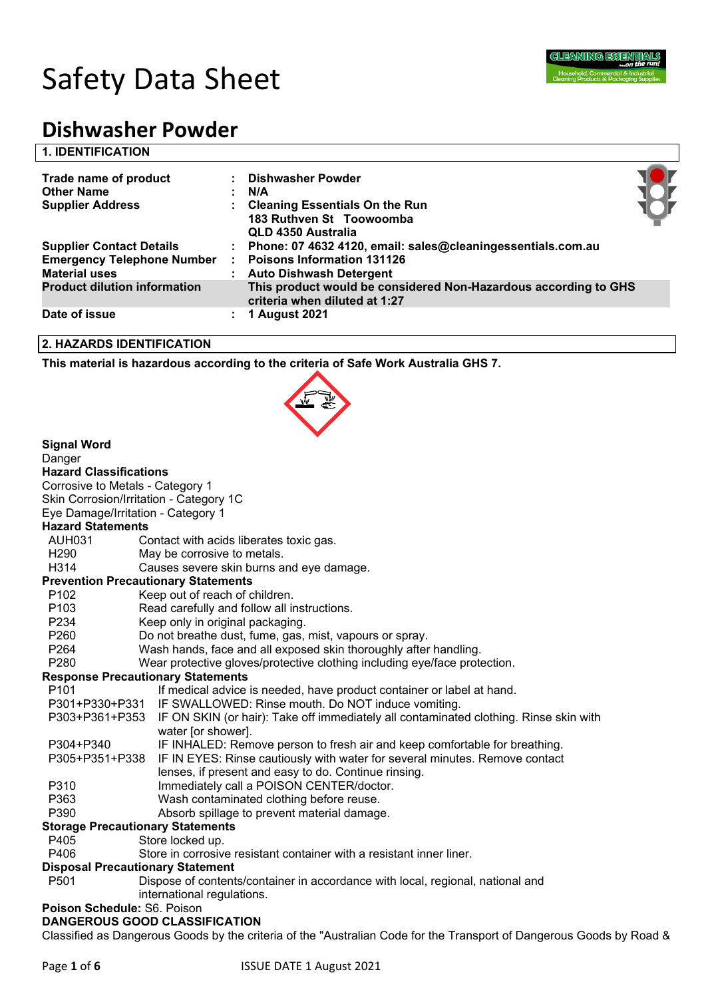

| Trade name of product<br><b>Other Name</b><br><b>Supplier Address</b> | <b>Dishwasher Powder</b><br>N/A<br>: Cleaning Essentials On the Run<br>183 Ruthven St Toowoomba<br>QLD 4350 Australia |  |
|-----------------------------------------------------------------------|-----------------------------------------------------------------------------------------------------------------------|--|
| <b>Supplier Contact Details</b>                                       | : Phone: 07 4632 4120, email: sales@cleaningessentials.com.au                                                         |  |
| <b>Emergency Telephone Number</b>                                     | <b>Poisons Information 131126</b>                                                                                     |  |
| <b>Material uses</b>                                                  | <b>Auto Dishwash Detergent</b>                                                                                        |  |
| <b>Product dilution information</b>                                   | This product would be considered Non-Hazardous according to GHS<br>criteria when diluted at 1:27                      |  |
| Date of issue                                                         | 1 August 2021                                                                                                         |  |

### **2. HAZARDS IDENTIFICATION**

**This material is hazardous according to the criteria of Safe Work Australia GHS 7.**



| <b>Signal Word</b>                      |                                                                                                      |  |  |  |  |
|-----------------------------------------|------------------------------------------------------------------------------------------------------|--|--|--|--|
| Danger                                  |                                                                                                      |  |  |  |  |
| <b>Hazard Classifications</b>           |                                                                                                      |  |  |  |  |
| Corrosive to Metals - Category 1        |                                                                                                      |  |  |  |  |
|                                         | Skin Corrosion/Irritation - Category 1C                                                              |  |  |  |  |
| Eye Damage/Irritation - Category 1      |                                                                                                      |  |  |  |  |
| <b>Hazard Statements</b>                |                                                                                                      |  |  |  |  |
| <b>AUH031</b>                           | Contact with acids liberates toxic gas.                                                              |  |  |  |  |
| H <sub>290</sub>                        | May be corrosive to metals.                                                                          |  |  |  |  |
| H314                                    | Causes severe skin burns and eye damage.                                                             |  |  |  |  |
|                                         | <b>Prevention Precautionary Statements</b>                                                           |  |  |  |  |
| P <sub>102</sub>                        | Keep out of reach of children.                                                                       |  |  |  |  |
| P <sub>103</sub>                        | Read carefully and follow all instructions.                                                          |  |  |  |  |
| P234                                    | Keep only in original packaging.                                                                     |  |  |  |  |
| P260                                    | Do not breathe dust, fume, gas, mist, vapours or spray.                                              |  |  |  |  |
| P264                                    | Wash hands, face and all exposed skin thoroughly after handling.                                     |  |  |  |  |
| P <sub>280</sub>                        | Wear protective gloves/protective clothing including eye/face protection.                            |  |  |  |  |
|                                         | <b>Response Precautionary Statements</b>                                                             |  |  |  |  |
| P <sub>101</sub>                        | If medical advice is needed, have product container or label at hand.                                |  |  |  |  |
|                                         | P301+P330+P331 IF SWALLOWED: Rinse mouth. Do NOT induce vomiting.                                    |  |  |  |  |
|                                         | P303+P361+P353 IF ON SKIN (or hair): Take off immediately all contaminated clothing. Rinse skin with |  |  |  |  |
|                                         | water [or shower].                                                                                   |  |  |  |  |
| P304+P340                               | IF INHALED: Remove person to fresh air and keep comfortable for breathing.                           |  |  |  |  |
| P305+P351+P338                          | IF IN EYES: Rinse cautiously with water for several minutes. Remove contact                          |  |  |  |  |
|                                         | lenses, if present and easy to do. Continue rinsing.                                                 |  |  |  |  |
| P310                                    | Immediately call a POISON CENTER/doctor.                                                             |  |  |  |  |
| P363                                    | Wash contaminated clothing before reuse.                                                             |  |  |  |  |
| P390                                    | Absorb spillage to prevent material damage.                                                          |  |  |  |  |
| <b>Storage Precautionary Statements</b> |                                                                                                      |  |  |  |  |
| P405                                    | Store locked up.                                                                                     |  |  |  |  |
| P406                                    | Store in corrosive resistant container with a resistant inner liner.                                 |  |  |  |  |
| <b>Disposal Precautionary Statement</b> |                                                                                                      |  |  |  |  |
| P <sub>501</sub>                        | Dispose of contents/container in accordance with local, regional, national and                       |  |  |  |  |
| international regulations.              |                                                                                                      |  |  |  |  |
| Poison Schedule: S6. Poison             |                                                                                                      |  |  |  |  |

# **DANGEROUS GOOD CLASSIFICATION**

Classified as Dangerous Goods by the criteria of the "Australian Code for the Transport of Dangerous Goods by Road &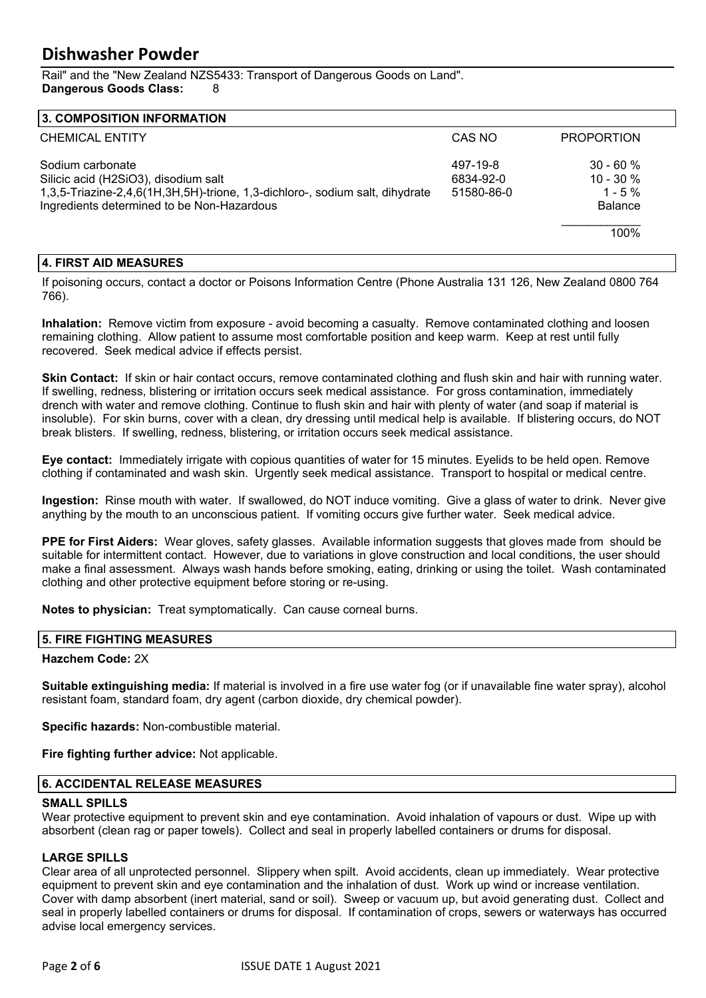Rail" and the "New Zealand NZS5433: Transport of Dangerous Goods on Land". **Dangerous Goods Class:** 8

| <b>3. COMPOSITION INFORMATION</b>                                                                                                                                                      |                                     |                                                           |
|----------------------------------------------------------------------------------------------------------------------------------------------------------------------------------------|-------------------------------------|-----------------------------------------------------------|
| <b>CHEMICAL ENTITY</b>                                                                                                                                                                 | CAS NO                              | <b>PROPORTION</b>                                         |
| Sodium carbonate<br>Silicic acid (H2SiO3), disodium salt<br>1,3,5-Triazine-2,4,6(1H,3H,5H)-trione, 1,3-dichloro-, sodium salt, dihydrate<br>Ingredients determined to be Non-Hazardous | 497-19-8<br>6834-92-0<br>51580-86-0 | $30 - 60%$<br>$10 - 30 \%$<br>$1 - 5\%$<br><b>Balance</b> |
|                                                                                                                                                                                        |                                     | 100%                                                      |

# **4. FIRST AID MEASURES**

If poisoning occurs, contact a doctor or Poisons Information Centre (Phone Australia 131 126, New Zealand 0800 764 766).

**Inhalation:** Remove victim from exposure - avoid becoming a casualty. Remove contaminated clothing and loosen remaining clothing. Allow patient to assume most comfortable position and keep warm. Keep at rest until fully recovered. Seek medical advice if effects persist.

**Skin Contact:** If skin or hair contact occurs, remove contaminated clothing and flush skin and hair with running water. If swelling, redness, blistering or irritation occurs seek medical assistance. For gross contamination, immediately drench with water and remove clothing. Continue to flush skin and hair with plenty of water (and soap if material is insoluble). For skin burns, cover with a clean, dry dressing until medical help is available. If blistering occurs, do NOT break blisters. If swelling, redness, blistering, or irritation occurs seek medical assistance.

**Eye contact:** Immediately irrigate with copious quantities of water for 15 minutes. Eyelids to be held open. Remove clothing if contaminated and wash skin. Urgently seek medical assistance. Transport to hospital or medical centre.

**Ingestion:** Rinse mouth with water. If swallowed, do NOT induce vomiting. Give a glass of water to drink. Never give anything by the mouth to an unconscious patient. If vomiting occurs give further water. Seek medical advice.

**PPE for First Aiders:** Wear gloves, safety glasses. Available information suggests that gloves made from should be suitable for intermittent contact. However, due to variations in glove construction and local conditions, the user should make a final assessment. Always wash hands before smoking, eating, drinking or using the toilet. Wash contaminated clothing and other protective equipment before storing or re-using.

**Notes to physician:** Treat symptomatically. Can cause corneal burns.

#### **5. FIRE FIGHTING MEASURES**

#### **Hazchem Code:** 2X

**Suitable extinguishing media:** If material is involved in a fire use water fog (or if unavailable fine water spray), alcohol resistant foam, standard foam, dry agent (carbon dioxide, dry chemical powder).

**Specific hazards:** Non-combustible material.

**Fire fighting further advice:** Not applicable.

#### **6. ACCIDENTAL RELEASE MEASURES**

#### **SMALL SPILLS**

Wear protective equipment to prevent skin and eye contamination. Avoid inhalation of vapours or dust. Wipe up with absorbent (clean rag or paper towels). Collect and seal in properly labelled containers or drums for disposal.

#### **LARGE SPILLS**

Clear area of all unprotected personnel. Slippery when spilt. Avoid accidents, clean up immediately. Wear protective equipment to prevent skin and eye contamination and the inhalation of dust. Work up wind or increase ventilation. Cover with damp absorbent (inert material, sand or soil). Sweep or vacuum up, but avoid generating dust. Collect and seal in properly labelled containers or drums for disposal. If contamination of crops, sewers or waterways has occurred advise local emergency services.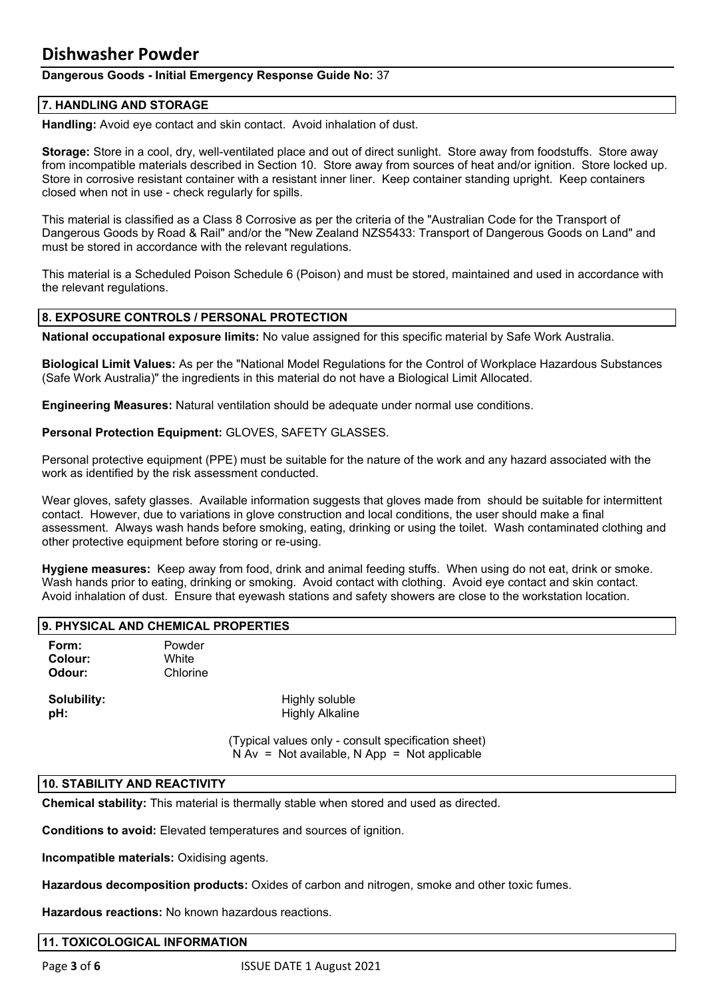# **Dangerous Goods - Initial Emergency Response Guide No:** 37

# **7. HANDLING AND STORAGE**

**Handling:** Avoid eye contact and skin contact. Avoid inhalation of dust.

**Storage:** Store in a cool, dry, well-ventilated place and out of direct sunlight. Store away from foodstuffs. Store away from incompatible materials described in Section 10. Store away from sources of heat and/or ignition. Store locked up. Store in corrosive resistant container with a resistant inner liner. Keep container standing upright. Keep containers closed when not in use - check regularly for spills.

This material is classified as a Class 8 Corrosive as per the criteria of the "Australian Code for the Transport of Dangerous Goods by Road & Rail" and/or the "New Zealand NZS5433: Transport of Dangerous Goods on Land" and must be stored in accordance with the relevant regulations.

This material is a Scheduled Poison Schedule 6 (Poison) and must be stored, maintained and used in accordance with the relevant regulations.

# **8. EXPOSURE CONTROLS / PERSONAL PROTECTION**

**National occupational exposure limits:** No value assigned for this specific material by Safe Work Australia.

**Biological Limit Values:** As per the "National Model Regulations for the Control of Workplace Hazardous Substances (Safe Work Australia)" the ingredients in this material do not have a Biological Limit Allocated.

**Engineering Measures:** Natural ventilation should be adequate under normal use conditions.

**Personal Protection Equipment:** GLOVES, SAFETY GLASSES.

Personal protective equipment (PPE) must be suitable for the nature of the work and any hazard associated with the work as identified by the risk assessment conducted.

Wear gloves, safety glasses. Available information suggests that gloves made from should be suitable for intermittent contact. However, due to variations in glove construction and local conditions, the user should make a final assessment. Always wash hands before smoking, eating, drinking or using the toilet. Wash contaminated clothing and other protective equipment before storing or re-using.

**Hygiene measures:** Keep away from food, drink and animal feeding stuffs. When using do not eat, drink or smoke. Wash hands prior to eating, drinking or smoking. Avoid contact with clothing. Avoid eye contact and skin contact. Avoid inhalation of dust. Ensure that eyewash stations and safety showers are close to the workstation location.

#### **9. PHYSICAL AND CHEMICAL PROPERTIES**

**Form:** Powder **Colour:** White **Odour:** Chlorine

**Solubility:** Highly soluble **pH:**  $H$  **highly Alkaline** 

> (Typical values only - consult specification sheet)  $N Av = Not available, N App = Not applicable$

#### **10. STABILITY AND REACTIVITY**

**Chemical stability:** This material is thermally stable when stored and used as directed.

**Conditions to avoid:** Elevated temperatures and sources of ignition.

**Incompatible materials:** Oxidising agents.

**Hazardous decomposition products:** Oxides of carbon and nitrogen, smoke and other toxic fumes.

**Hazardous reactions:** No known hazardous reactions.

#### **11. TOXICOLOGICAL INFORMATION**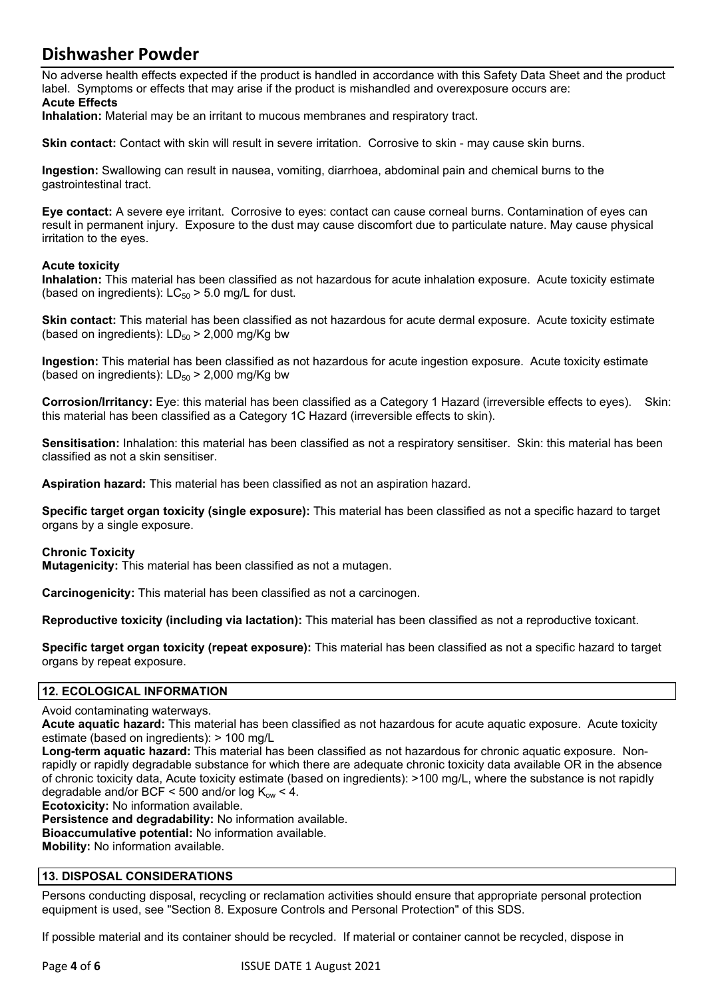No adverse health effects expected if the product is handled in accordance with this Safety Data Sheet and the product label. Symptoms or effects that may arise if the product is mishandled and overexposure occurs are: **Acute Effects**

**Inhalation:** Material may be an irritant to mucous membranes and respiratory tract.

**Skin contact:** Contact with skin will result in severe irritation. Corrosive to skin - may cause skin burns.

**Ingestion:** Swallowing can result in nausea, vomiting, diarrhoea, abdominal pain and chemical burns to the gastrointestinal tract.

**Eye contact:** A severe eye irritant. Corrosive to eyes: contact can cause corneal burns. Contamination of eyes can result in permanent injury. Exposure to the dust may cause discomfort due to particulate nature. May cause physical irritation to the eyes.

### **Acute toxicity**

**Inhalation:** This material has been classified as not hazardous for acute inhalation exposure. Acute toxicity estimate (based on ingredients):  $LC_{50}$  > 5.0 mg/L for dust.

**Skin contact:** This material has been classified as not hazardous for acute dermal exposure. Acute toxicity estimate (based on ingredients):  $LD_{50}$  > 2,000 mg/Kg bw

**Ingestion:** This material has been classified as not hazardous for acute ingestion exposure. Acute toxicity estimate (based on ingredients):  $LD_{50}$  > 2,000 mg/Kg bw

**Corrosion/Irritancy:** Eye: this material has been classified as a Category 1 Hazard (irreversible effects to eyes). Skin: this material has been classified as a Category 1C Hazard (irreversible effects to skin).

**Sensitisation:** Inhalation: this material has been classified as not a respiratory sensitiser. Skin: this material has been classified as not a skin sensitiser.

**Aspiration hazard:** This material has been classified as not an aspiration hazard.

**Specific target organ toxicity (single exposure):** This material has been classified as not a specific hazard to target organs by a single exposure.

#### **Chronic Toxicity**

**Mutagenicity:** This material has been classified as not a mutagen.

**Carcinogenicity:** This material has been classified as not a carcinogen.

**Reproductive toxicity (including via lactation):** This material has been classified as not a reproductive toxicant.

**Specific target organ toxicity (repeat exposure):** This material has been classified as not a specific hazard to target organs by repeat exposure.

# **12. ECOLOGICAL INFORMATION**

#### Avoid contaminating waterways.

**Acute aquatic hazard:** This material has been classified as not hazardous for acute aquatic exposure. Acute toxicity estimate (based on ingredients): > 100 mg/L

**Long-term aquatic hazard:** This material has been classified as not hazardous for chronic aquatic exposure. Nonrapidly or rapidly degradable substance for which there are adequate chronic toxicity data available OR in the absence of chronic toxicity data, Acute toxicity estimate (based on ingredients): >100 mg/L, where the substance is not rapidly degradable and/or BCF < 500 and/or  $log K_{ow}$  < 4.

**Ecotoxicity:** No information available.

**Persistence and degradability:** No information available. **Bioaccumulative potential:** No information available. **Mobility:** No information available.

# **13. DISPOSAL CONSIDERATIONS**

Persons conducting disposal, recycling or reclamation activities should ensure that appropriate personal protection equipment is used, see "Section 8. Exposure Controls and Personal Protection" of this SDS.

If possible material and its container should be recycled. If material or container cannot be recycled, dispose in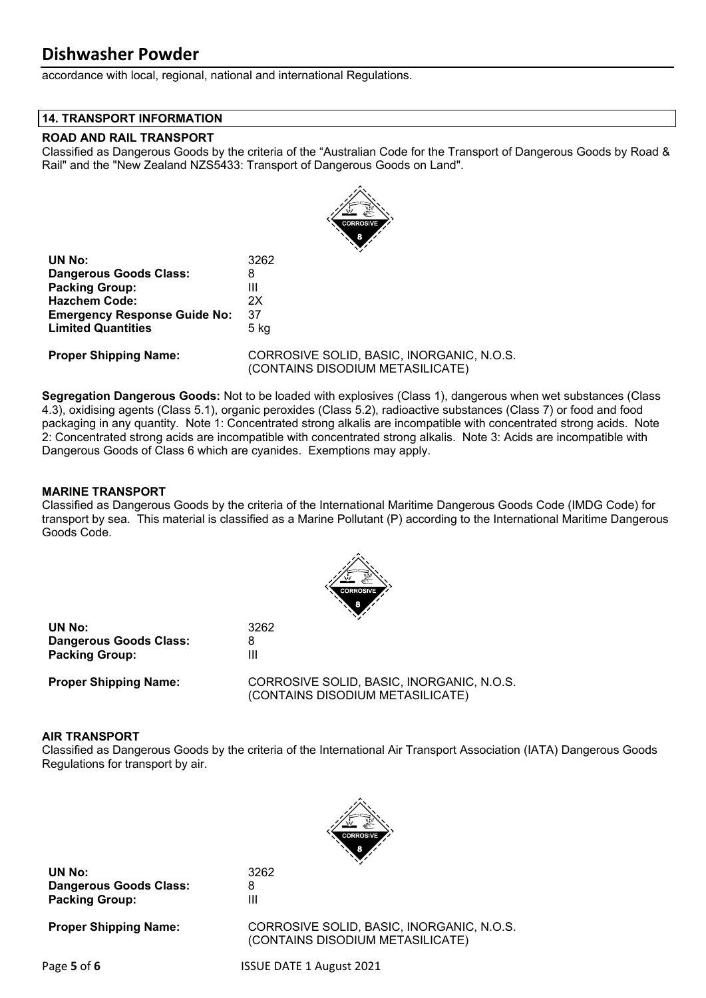accordance with local, regional, national and international Regulations.

### **14. TRANSPORT INFORMATION**

# **ROAD AND RAIL TRANSPORT**

Classified as Dangerous Goods by the criteria of the "Australian Code for the Transport of Dangerous Goods by Road & Rail" and the "New Zealand NZS5433: Transport of Dangerous Goods on Land".



| <b>UN No:</b>                       | 3262   |
|-------------------------------------|--------|
| <b>Dangerous Goods Class:</b>       | 8      |
| <b>Packing Group:</b>               | Ш      |
| <b>Hazchem Code:</b>                | 2X     |
| <b>Emergency Response Guide No:</b> | 37     |
| <b>Limited Quantities</b>           | $5$ kg |
|                                     |        |

**Proper Shipping Name:** CORROSIVE SOLID, BASIC, INORGANIC, N.O.S. (CONTAINS DISODIUM METASILICATE)

**Segregation Dangerous Goods:** Not to be loaded with explosives (Class 1), dangerous when wet substances (Class 4.3), oxidising agents (Class 5.1), organic peroxides (Class 5.2), radioactive substances (Class 7) or food and food packaging in any quantity. Note 1: Concentrated strong alkalis are incompatible with concentrated strong acids. Note 2: Concentrated strong acids are incompatible with concentrated strong alkalis. Note 3: Acids are incompatible with Dangerous Goods of Class 6 which are cyanides. Exemptions may apply.

# **MARINE TRANSPORT**

Classified as Dangerous Goods by the criteria of the International Maritime Dangerous Goods Code (IMDG Code) for transport by sea. This material is classified as a Marine Pollutant (P) according to the International Maritime Dangerous Goods Code.



**UN No:** 3262 **Dangerous Goods Class:** 8 **Packing Group:** III

**Proper Shipping Name:** CORROSIVE SOLID, BASIC, INORGANIC, N.O.S. (CONTAINS DISODIUM METASILICATE)

# **AIR TRANSPORT**

Classified as Dangerous Goods by the criteria of the International Air Transport Association (IATA) Dangerous Goods Regulations for transport by air.



**UN No:** 3262 **Dangerous Goods Class:** 8 **Packing Group:** III

**Proper Shipping Name:** CORROSIVE SOLID, BASIC, INORGANIC, N.O.S. (CONTAINS DISODIUM METASILICATE)

Page **5** of **6** ISSUE DATE 1 August 2021